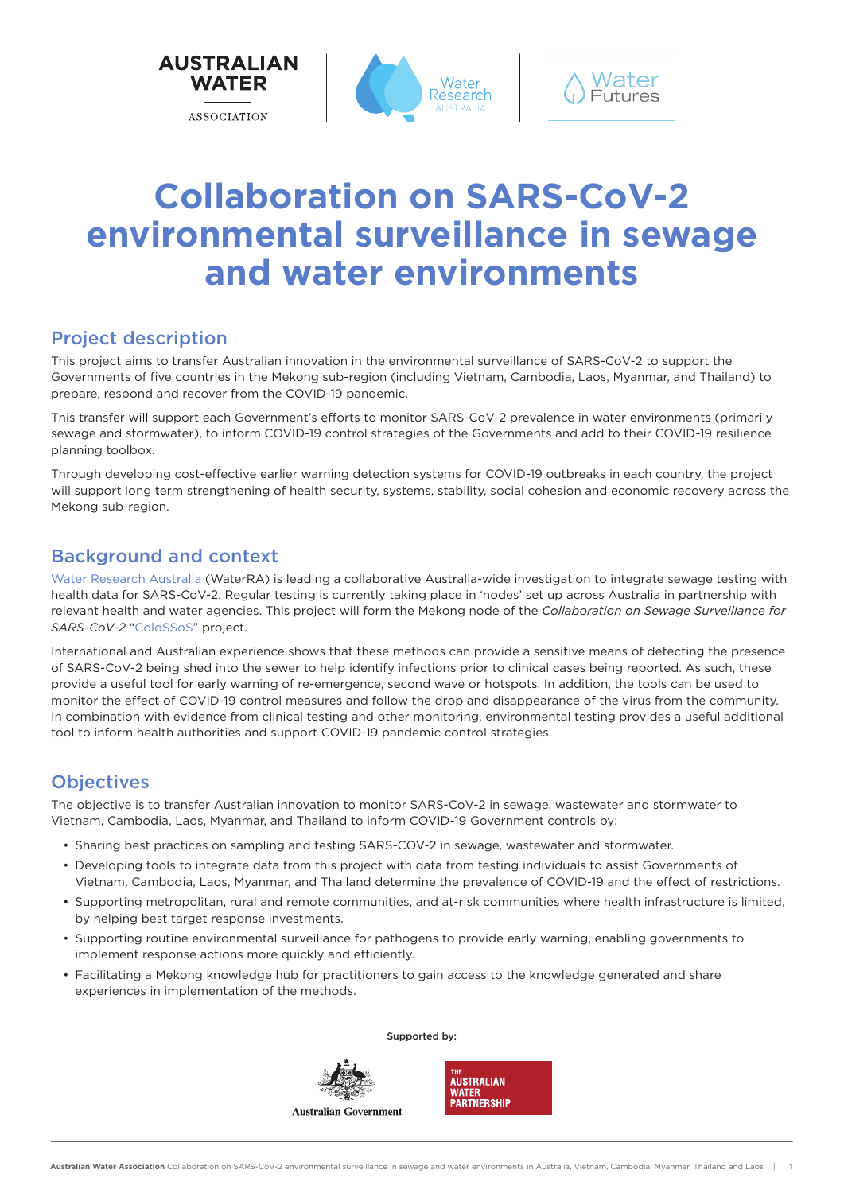

# **Collaboration on SARS-CoV-2 environmental surveillance in sewage and water environments**

### Project description

This project aims to transfer Australian innovation in the environmental surveillance of SARS-CoV-2 to support the Governments of five countries in the Mekong sub-region (including Vietnam, Cambodia, Laos, Myanmar, and Thailand) to prepare, respond and recover from the COVID-19 pandemic.

This transfer will support each Government's efforts to monitor SARS-CoV-2 prevalence in water environments (primarily sewage and stormwater), to inform COVID-19 control strategies of the Governments and add to their COVID-19 resilience planning toolbox.

Through developing cost-effective earlier warning detection systems for COVID-19 outbreaks in each country, the project will support long term strengthening of health security, systems, stability, social cohesion and economic recovery across the Mekong sub-region.

### Background and context

[Water Research Australia](https://www.waterra.com.au/research/communities-of-interest/covid-19/) (WaterRA) is leading a collaborative Australia-wide investigation to integrate sewage testing with health data for SARS-CoV-2. Regular testing is currently taking place in 'nodes' set up across Australia in partnership with relevant health and water agencies. This project will form the Mekong node of the *Collaboration on Sewage Surveillance for SARS-CoV-2* ["ColoSSoS](https://www.waterra.com.au/research/communities-of-interest/covid-19/)" project.

International and Australian experience shows that these methods can provide a sensitive means of detecting the presence of SARS-CoV-2 being shed into the sewer to help identify infections prior to clinical cases being reported. As such, these provide a useful tool for early warning of re-emergence, second wave or hotspots. In addition, the tools can be used to monitor the effect of COVID-19 control measures and follow the drop and disappearance of the virus from the community. In combination with evidence from clinical testing and other monitoring, environmental testing provides a useful additional tool to inform health authorities and support COVID-19 pandemic control strategies.

### **Objectives**

The objective is to transfer Australian innovation to monitor SARS-CoV-2 in sewage, wastewater and stormwater to Vietnam, Cambodia, Laos, Myanmar, and Thailand to inform COVID-19 Government controls by:

- Sharing best practices on sampling and testing SARS-COV-2 in sewage, wastewater and stormwater.
- Developing tools to integrate data from this project with data from testing individuals to assist Governments of Vietnam, Cambodia, Laos, Myanmar, and Thailand determine the prevalence of COVID-19 and the effect of restrictions.
- Supporting metropolitan, rural and remote communities, and at-risk communities where health infrastructure is limited, by helping best target response investments.

Supported by:

- Supporting routine environmental surveillance for pathogens to provide early warning, enabling governments to implement response actions more quickly and efficiently.
- Facilitating a Mekong knowledge hub for practitioners to gain access to the knowledge generated and share experiences in implementation of the methods.



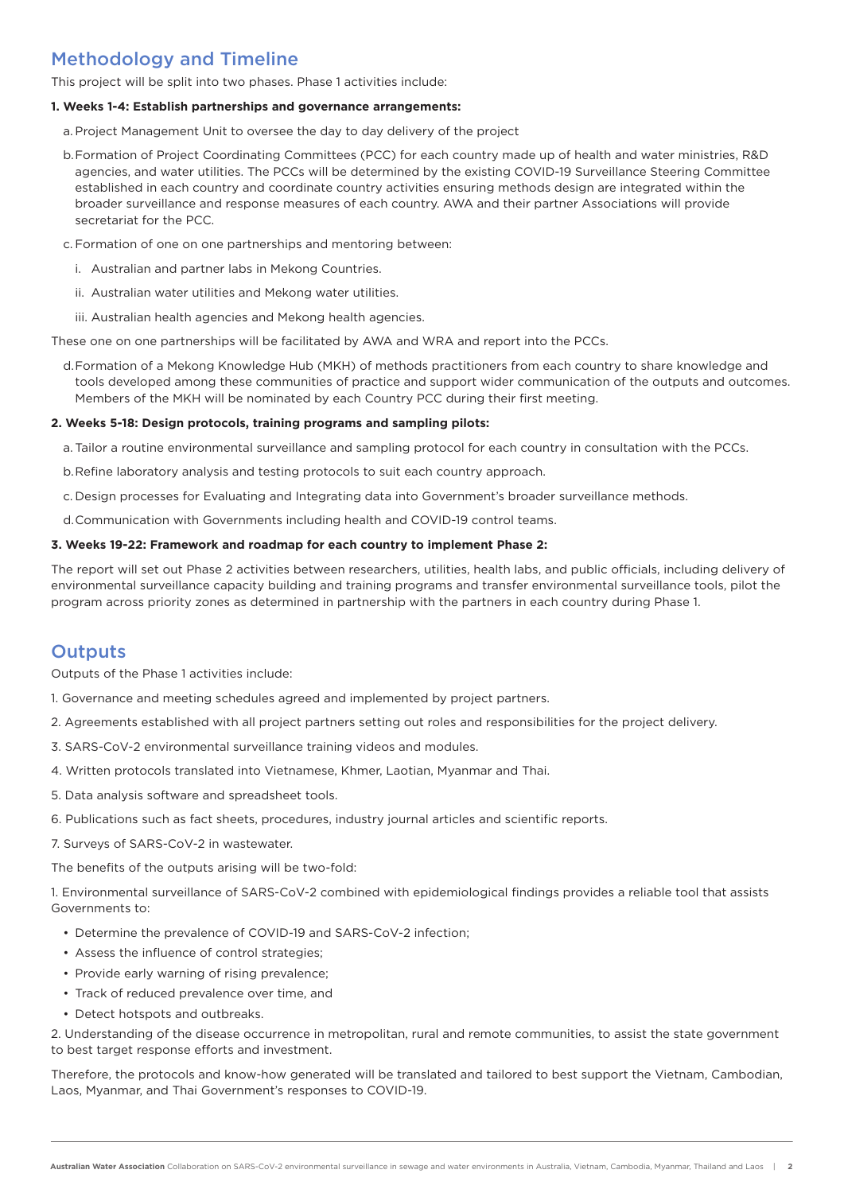## Methodology and Timeline

This project will be split into two phases. Phase 1 activities include:

#### **1. Weeks 1-4: Establish partnerships and governance arrangements:**

- a. Project Management Unit to oversee the day to day delivery of the project
- b.Formation of Project Coordinating Committees (PCC) for each country made up of health and water ministries, R&D agencies, and water utilities. The PCCs will be determined by the existing COVID-19 Surveillance Steering Committee established in each country and coordinate country activities ensuring methods design are integrated within the broader surveillance and response measures of each country. AWA and their partner Associations will provide secretariat for the PCC.
- c. Formation of one on one partnerships and mentoring between:
	- i. Australian and partner labs in Mekong Countries.
	- ii. Australian water utilities and Mekong water utilities.
	- iii. Australian health agencies and Mekong health agencies.

These one on one partnerships will be facilitated by AWA and WRA and report into the PCCs.

d.Formation of a Mekong Knowledge Hub (MKH) of methods practitioners from each country to share knowledge and tools developed among these communities of practice and support wider communication of the outputs and outcomes. Members of the MKH will be nominated by each Country PCC during their first meeting.

#### **2. Weeks 5-18: Design protocols, training programs and sampling pilots:**

- a. Tailor a routine environmental surveillance and sampling protocol for each country in consultation with the PCCs.
- b.Refine laboratory analysis and testing protocols to suit each country approach.
- c. Design processes for Evaluating and Integrating data into Government's broader surveillance methods.
- d.Communication with Governments including health and COVID-19 control teams.

#### **3. Weeks 19-22: Framework and roadmap for each country to implement Phase 2:**

The report will set out Phase 2 activities between researchers, utilities, health labs, and public officials, including delivery of environmental surveillance capacity building and training programs and transfer environmental surveillance tools, pilot the program across priority zones as determined in partnership with the partners in each country during Phase 1.

### **Outputs**

Outputs of the Phase 1 activities include:

- 1. Governance and meeting schedules agreed and implemented by project partners.
- 2. Agreements established with all project partners setting out roles and responsibilities for the project delivery.
- 3. SARS-CoV-2 environmental surveillance training videos and modules.
- 4. Written protocols translated into Vietnamese, Khmer, Laotian, Myanmar and Thai.
- 5. Data analysis software and spreadsheet tools.
- 6. Publications such as fact sheets, procedures, industry journal articles and scientific reports.
- 7. Surveys of SARS-CoV-2 in wastewater.

The benefits of the outputs arising will be two-fold:

1. Environmental surveillance of SARS-CoV-2 combined with epidemiological findings provides a reliable tool that assists Governments to:

- Determine the prevalence of COVID-19 and SARS-CoV-2 infection;
- Assess the influence of control strategies;
- Provide early warning of rising prevalence;
- Track of reduced prevalence over time, and
- Detect hotspots and outbreaks.

2. Understanding of the disease occurrence in metropolitan, rural and remote communities, to assist the state government to best target response efforts and investment.

Therefore, the protocols and know-how generated will be translated and tailored to best support the Vietnam, Cambodian, Laos, Myanmar, and Thai Government's responses to COVID-19.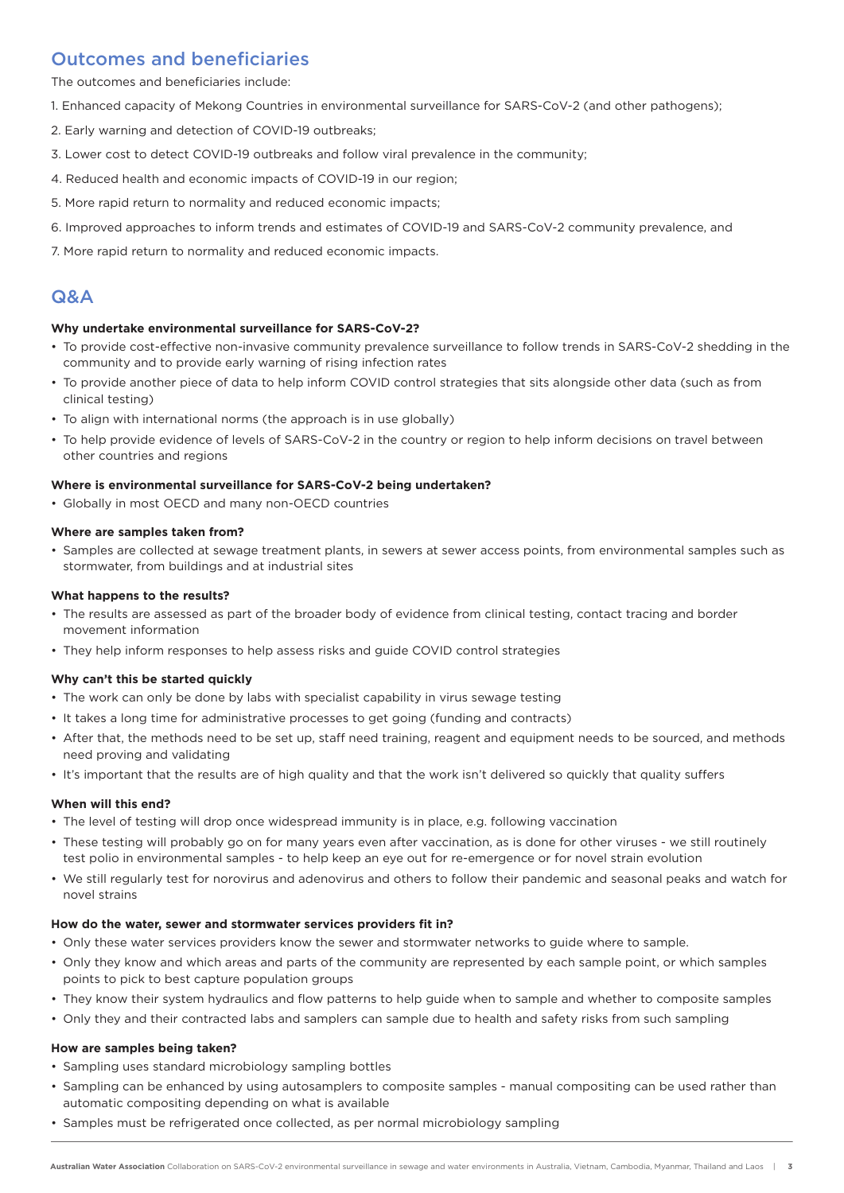### Outcomes and beneficiaries

The outcomes and beneficiaries include:

- 1. Enhanced capacity of Mekong Countries in environmental surveillance for SARS-CoV-2 (and other pathogens);
- 2. Early warning and detection of COVID-19 outbreaks;
- 3. Lower cost to detect COVID-19 outbreaks and follow viral prevalence in the community;
- 4. Reduced health and economic impacts of COVID-19 in our region;
- 5. More rapid return to normality and reduced economic impacts;
- 6. Improved approaches to inform trends and estimates of COVID-19 and SARS-CoV-2 community prevalence, and
- 7. More rapid return to normality and reduced economic impacts.

### Q&A

#### **Why undertake environmental surveillance for SARS-CoV-2?**

- To provide cost-effective non-invasive community prevalence surveillance to follow trends in SARS-CoV-2 shedding in the community and to provide early warning of rising infection rates
- To provide another piece of data to help inform COVID control strategies that sits alongside other data (such as from clinical testing)
- To align with international norms (the approach is in use globally)
- To help provide evidence of levels of SARS-CoV-2 in the country or region to help inform decisions on travel between other countries and regions

#### **Where is environmental surveillance for SARS-CoV-2 being undertaken?**

• Globally in most OECD and many non-OECD countries

#### **Where are samples taken from?**

• Samples are collected at sewage treatment plants, in sewers at sewer access points, from environmental samples such as stormwater, from buildings and at industrial sites

#### **What happens to the results?**

- The results are assessed as part of the broader body of evidence from clinical testing, contact tracing and border movement information
- They help inform responses to help assess risks and guide COVID control strategies

#### **Why can't this be started quickly**

- The work can only be done by labs with specialist capability in virus sewage testing
- It takes a long time for administrative processes to get going (funding and contracts)
- After that, the methods need to be set up, staff need training, reagent and equipment needs to be sourced, and methods need proving and validating
- It's important that the results are of high quality and that the work isn't delivered so quickly that quality suffers

#### **When will this end?**

- The level of testing will drop once widespread immunity is in place, e.g. following vaccination
- These testing will probably go on for many years even after vaccination, as is done for other viruses we still routinely test polio in environmental samples - to help keep an eye out for re-emergence or for novel strain evolution
- We still regularly test for norovirus and adenovirus and others to follow their pandemic and seasonal peaks and watch for novel strains

#### **How do the water, sewer and stormwater services providers fit in?**

- Only these water services providers know the sewer and stormwater networks to guide where to sample.
- Only they know and which areas and parts of the community are represented by each sample point, or which samples points to pick to best capture population groups
- They know their system hydraulics and flow patterns to help guide when to sample and whether to composite samples
- Only they and their contracted labs and samplers can sample due to health and safety risks from such sampling

#### **How are samples being taken?**

- Sampling uses standard microbiology sampling bottles
- Sampling can be enhanced by using autosamplers to composite samples manual compositing can be used rather than automatic compositing depending on what is available
- Samples must be refrigerated once collected, as per normal microbiology sampling